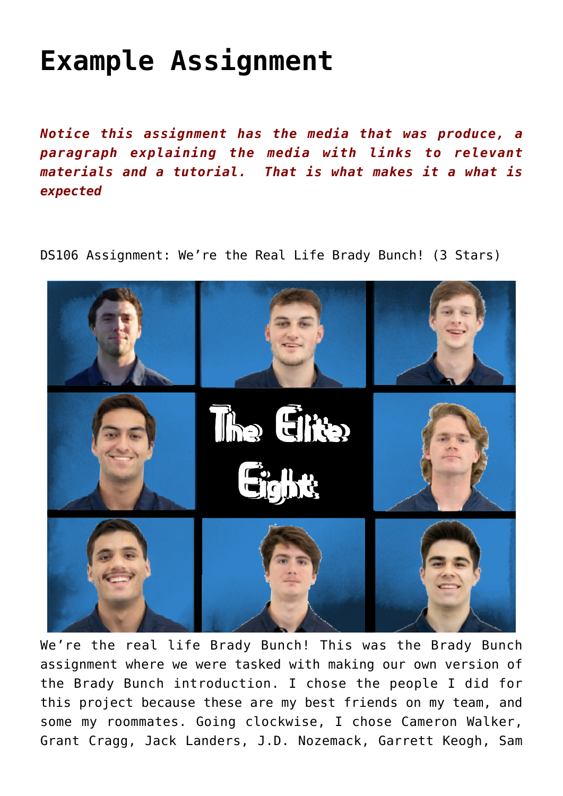## **[Example Assignment](http://ds106.jenpolack.com/?page_id=2402)**

*Notice this assignment has the media that was produce, a paragraph explaining the media with links to relevant materials and a tutorial. That is what makes it a what is expected*

DS106 Assignment: [We're the Real Life Brady Bunch!](https://assignments.ds106.us/assignments/were-the-real-life-brady-bunch/) (3 Stars)



We're the real life Brady Bunch! This was the Brady Bunch assignment where we were tasked with making our own version of the Brady Bunch introduction. I chose the people I did for this project because these are my best friends on my team, and some my roommates. Going clockwise, I chose [Cameron Walker,](https://www.umweagles.com/sports/mlax/2020-21/bios/walker_cameron_1ixs?view=bio) [Grant Cragg,](https://www.umweagles.com/sports/mlax/2020-21/bios/cragg_grant_93u0?view=bio) [Jack Landers,](https://www.umweagles.com/sports/mlax/2020-21/bios/landers_jack_2mf1?view=bio) [J.D. Nozemack,](https://www.umweagles.com/sports/mlax/2020-21/bios/nozemack_j.d._gux0?view=bio) [Garrett Keogh](https://www.umweagles.com/sports/mlax/2020-21/bios/keogh_garrett_e78l?view=bio), [Sam](https://www.umweagles.com/sports/mlax/2020-21/bios/pugliese_sam_6lnc?view=bio)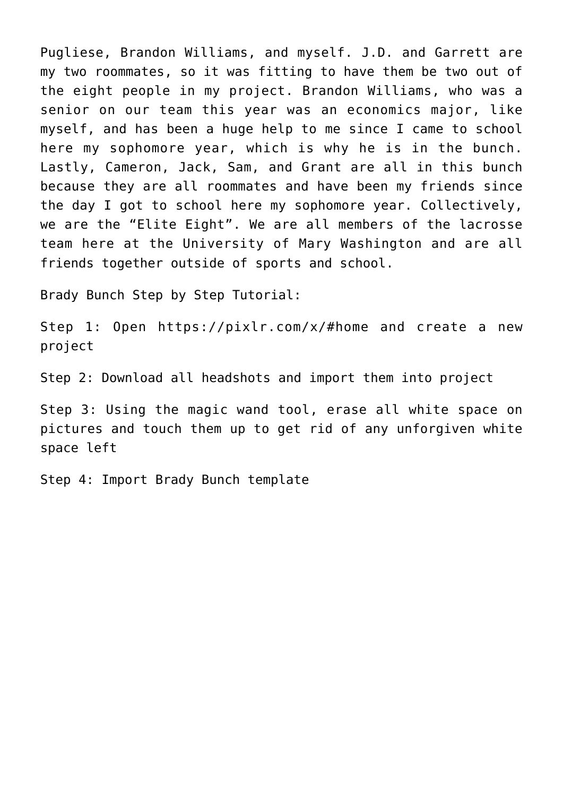[Pugliese,](https://www.umweagles.com/sports/mlax/2020-21/bios/pugliese_sam_6lnc?view=bio) [Brandon Williams](http://umweagles.com/sports/mlax/2020-21/bios/williams_brandon_7n9e?view=bio), and [myself.](https://www.umweagles.com/sports/mlax/2020-21/bios/cruz_kevin_eks8?view=bio) J.D. and Garrett are my two roommates, so it was fitting to have them be two out of the eight people in my project. Brandon Williams, who was a senior on our team this year was an economics major, like myself, and has been a huge help to me since I came to school here my sophomore year, which is why he is in the bunch. Lastly, Cameron, Jack, Sam, and Grant are all in this bunch because they are all roommates and have been my friends since the day I got to school here my sophomore year. Collectively, we are the "Elite Eight". We are all members of the lacrosse team here at the University of Mary Washington and are all friends together outside of sports and school.

Brady Bunch Step by Step Tutorial:

Step 1: Open <https://pixlr.com/x/#home> and create a new project

Step 2: Download all headshots and import them into project

Step 3: Using the magic wand tool, erase all white space on pictures and touch them up to get rid of any unforgiven white space left

Step 4: Import Brady Bunch template